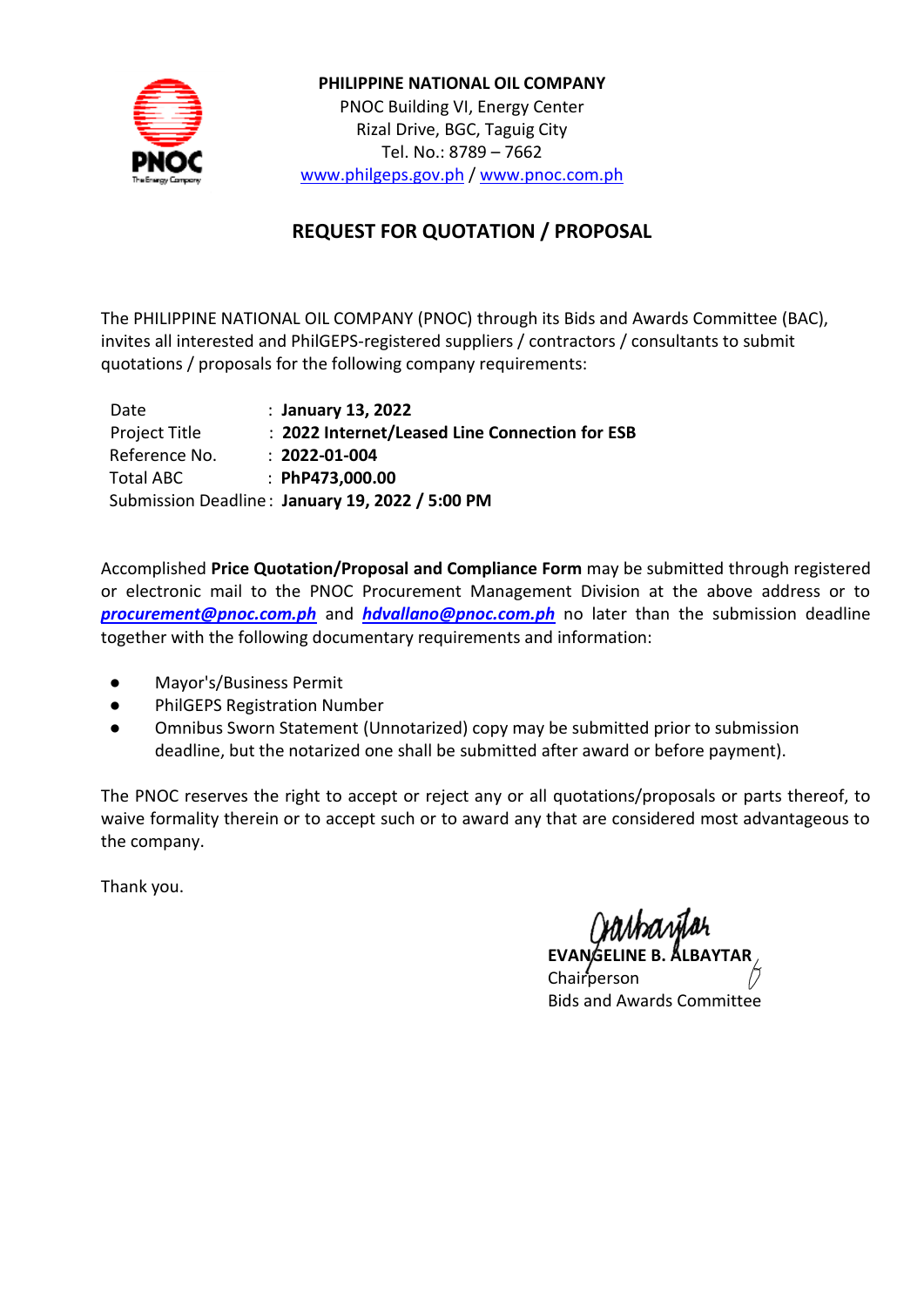

**PHILIPPINE NATIONAL OIL COMPANY** PNOC Building VI, Energy Center Rizal Drive, BGC, Taguig City Tel. No.: 8789 – 7662 [www.philgeps.gov.ph](http://www.philgeps.gov.ph/) / [www.pnoc.com.ph](http://www.pnoc.com.ph/)

## **REQUEST FOR QUOTATION / PROPOSAL**

The PHILIPPINE NATIONAL OIL COMPANY (PNOC) through its Bids and Awards Committee (BAC), invites all interested and PhilGEPS-registered suppliers / contractors / consultants to submit quotations / proposals for the following company requirements:

| Date             | : January 13, 2022                              |
|------------------|-------------------------------------------------|
| Project Title    | : 2022 Internet/Leased Line Connection for ESB  |
| Reference No.    | $: 2022 - 01 - 004$                             |
| <b>Total ABC</b> | : PhP473,000.00                                 |
|                  | Submission Deadline: January 19, 2022 / 5:00 PM |

Accomplished **Price Quotation/Proposal and Compliance Form** may be submitted through registered or electronic mail to the PNOC Procurement Management Division at the above address or to *[procurement@pnoc.com.ph](mailto:procurement@pnoc.com.ph)* and *[hdvallano@pnoc.com.ph](mailto:hdvallano@pnoc.com.ph)* no later than the submission deadline together with the following documentary requirements and information:

- Mayor's/Business Permit
- PhilGEPS Registration Number
- Omnibus Sworn Statement (Unnotarized) copy may be submitted prior to submission deadline, but the notarized one shall be submitted after award or before payment).

The PNOC reserves the right to accept or reject any or all quotations/proposals or parts thereof, to waive formality therein or to accept such or to award any that are considered most advantageous to the company.

Thank you.

**EVANGELINE B.** Chairperson Bids and Awards Committee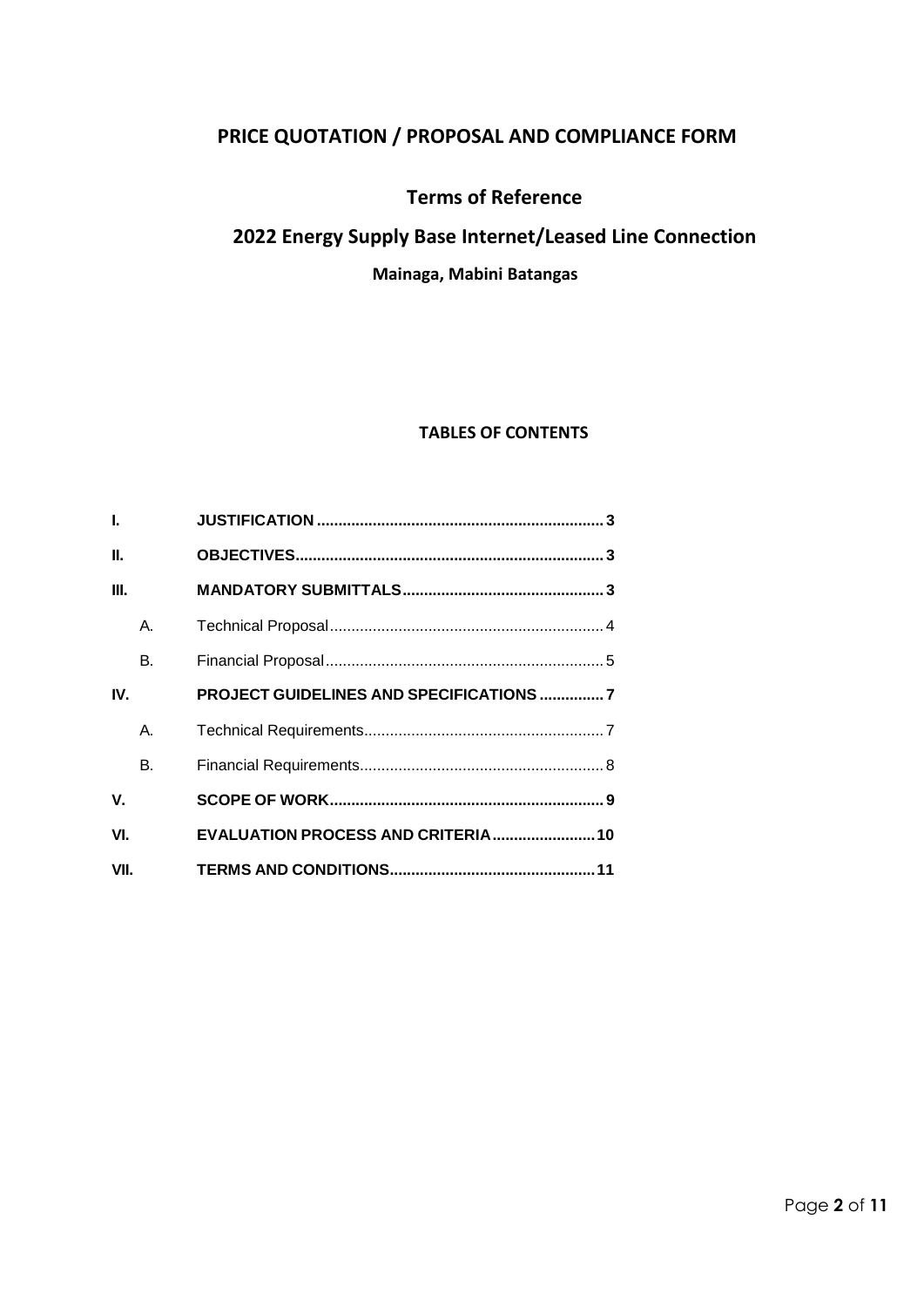# **PRICE QUOTATION / PROPOSAL AND COMPLIANCE FORM**

## **Terms of Reference**

## **2022 Energy Supply Base Internet/Leased Line Connection**

## **Mainaga, Mabini Batangas**

#### **TABLES OF CONTENTS**

| L.   |    |                                                |
|------|----|------------------------------------------------|
| П.   |    |                                                |
| III. |    |                                                |
|      | Α. |                                                |
|      | В. |                                                |
| IV.  |    | <b>PROJECT GUIDELINES AND SPECIFICATIONS 7</b> |
|      | А. |                                                |
|      | В. |                                                |
| V.   |    |                                                |
| VI.  |    |                                                |
| VII. |    |                                                |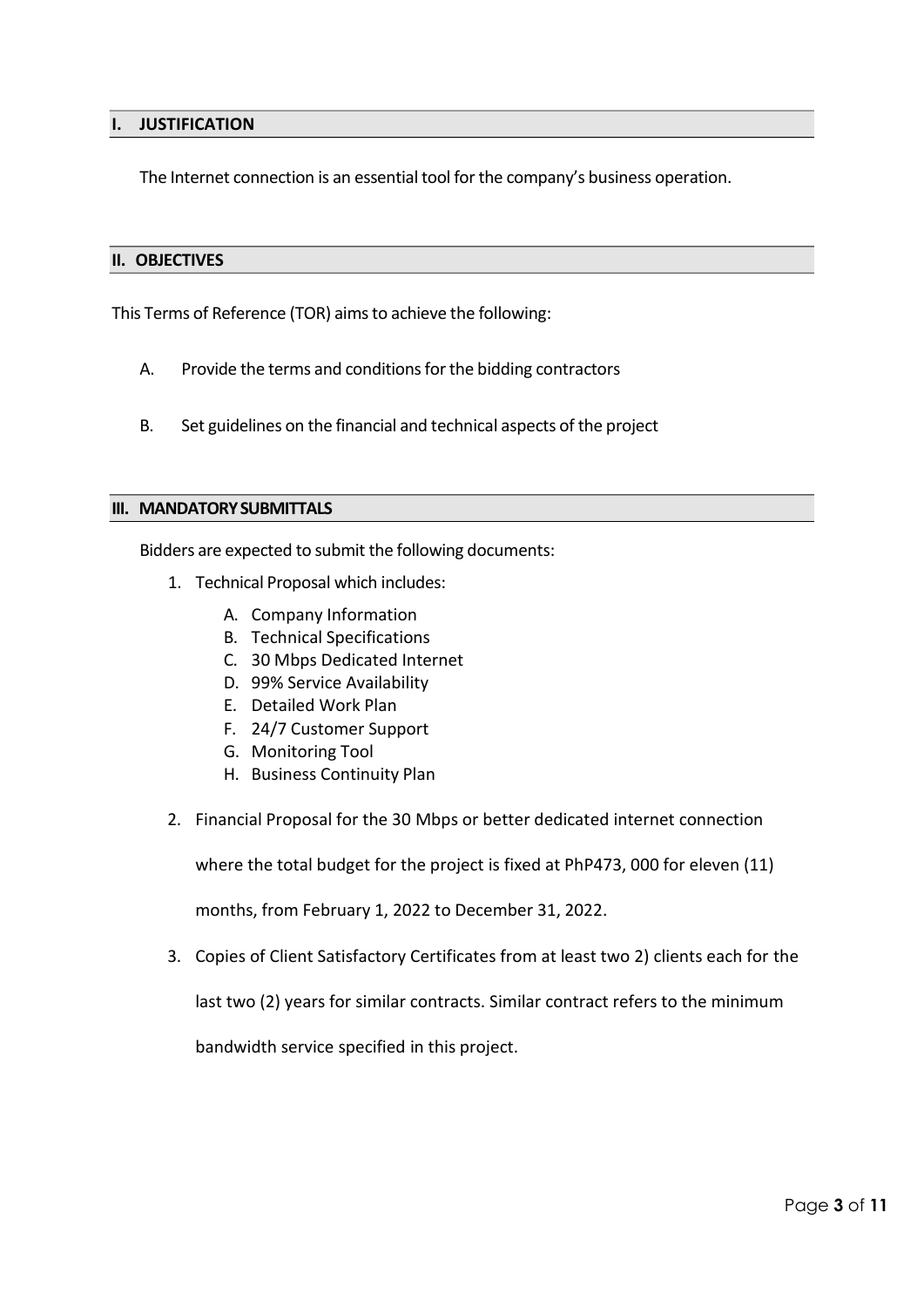#### <span id="page-2-0"></span>**I. JUSTIFICATION**

The Internet connection is an essential tool for the company's business operation.

#### <span id="page-2-1"></span>**II. OBJECTIVES**

This Terms of Reference (TOR) aimsto achieve the following:

- A. Provide the terms and conditions for the bidding contractors
- B. Set guidelines on the financial and technical aspects of the project

#### <span id="page-2-2"></span>**III. MANDATORYSUBMITTALS**

Bidders are expected to submit the following documents:

- 1. Technical Proposal which includes:
	- A. Company Information
	- B. Technical Specifications
	- C. 30 Mbps Dedicated Internet
	- D. 99% Service Availability
	- E. Detailed Work Plan
	- F. 24/7 Customer Support
	- G. Monitoring Tool
	- H. Business Continuity Plan
- 2. Financial Proposal for the 30 Mbps or better dedicated internet connection

where the total budget for the project is fixed at PhP473, 000 for eleven (11)

months, from February 1, 2022 to December 31, 2022.

3. Copies of Client Satisfactory Certificates from at least two 2) clients each for the

last two (2) years for similar contracts. Similar contract refers to the minimum

bandwidth service specified in this project.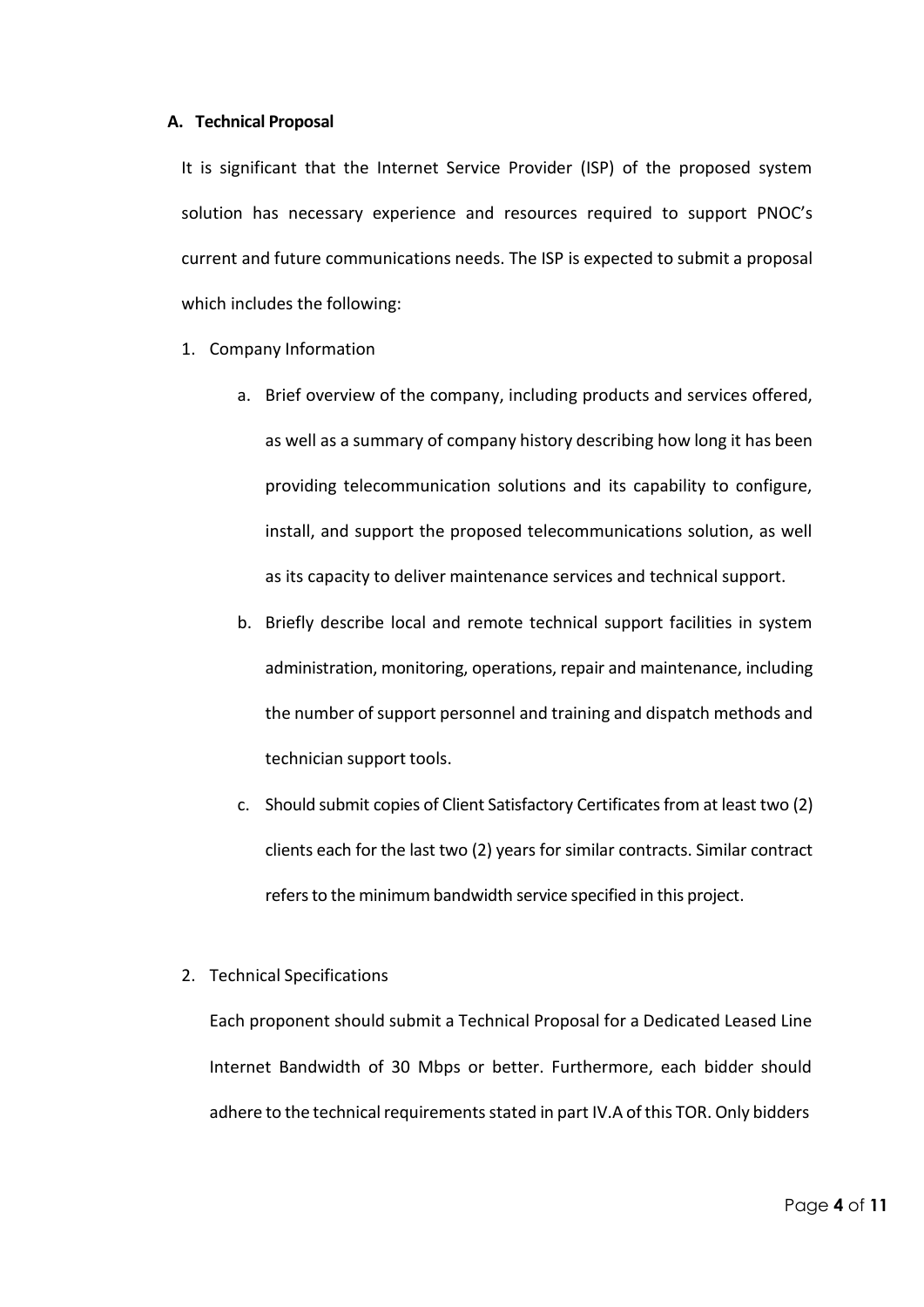#### <span id="page-3-0"></span>**A. Technical Proposal**

It is significant that the Internet Service Provider (ISP) of the proposed system solution has necessary experience and resources required to support PNOC's current and future communications needs. The ISP is expected to submit a proposal which includes the following:

- 1. Company Information
	- a. Brief overview of the company, including products and services offered, as well as a summary of company history describing how long it has been providing telecommunication solutions and its capability to configure, install, and support the proposed telecommunications solution, as well as its capacity to deliver maintenance services and technical support.
	- b. Briefly describe local and remote technical support facilities in system administration, monitoring, operations, repair and maintenance, including the number of support personnel and training and dispatch methods and technician support tools.
	- c. Should submit copies of Client Satisfactory Certificatesfrom at least two (2) clients each for the last two (2) years for similar contracts. Similar contract refers to the minimum bandwidth service specified in this project.
- 2. Technical Specifications

Each proponent should submit a Technical Proposal for a Dedicated Leased Line Internet Bandwidth of 30 Mbps or better. Furthermore, each bidder should adhere to the technical requirements stated in part IV.A of this TOR. Only bidders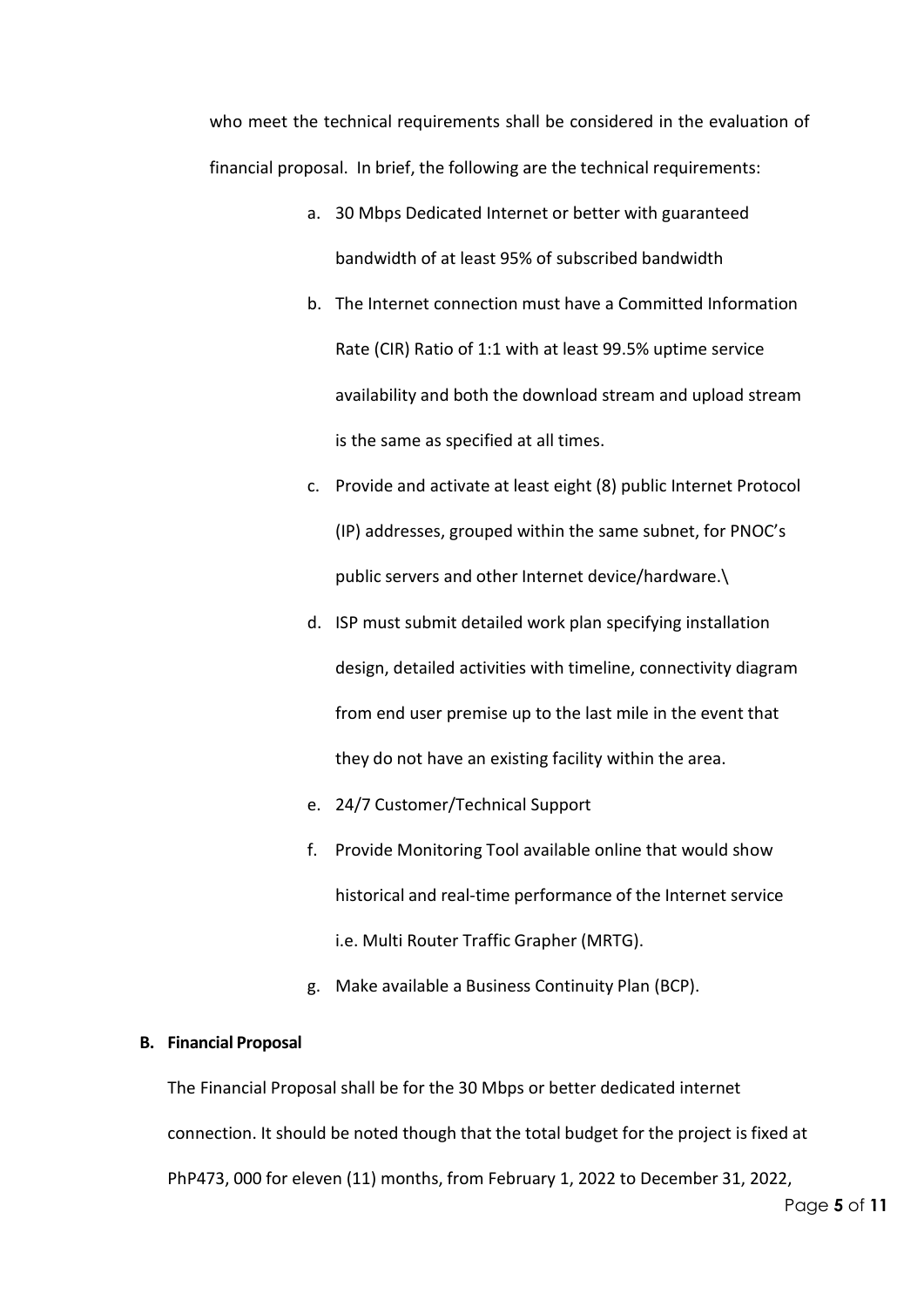who meet the technical requirements shall be considered in the evaluation of financial proposal. In brief, the following are the technical requirements:

- a. 30 Mbps Dedicated Internet or better with guaranteed bandwidth of at least 95% of subscribed bandwidth
- b. The Internet connection must have a Committed Information Rate (CIR) Ratio of 1:1 with at least 99.5% uptime service availability and both the download stream and upload stream is the same as specified at all times.
- c. Provide and activate at least eight (8) public Internet Protocol (IP) addresses, grouped within the same subnet, for PNOC's public servers and other Internet device/hardware.\
- d. ISP must submit detailed work plan specifying installation design, detailed activities with timeline, connectivity diagram from end user premise up to the last mile in the event that they do not have an existing facility within the area.
- e. 24/7 Customer/Technical Support
- f. Provide Monitoring Tool available online that would show historical and real-time performance of the Internet service i.e. Multi Router Traffic Grapher (MRTG).
- g. Make available a Business Continuity Plan (BCP).

#### <span id="page-4-0"></span>**B. Financial Proposal**

The Financial Proposal shall be for the 30 Mbps or better dedicated internet connection. It should be noted though that the total budget for the project is fixed at PhP473, 000 for eleven (11) months, from February 1, 2022 to December 31, 2022,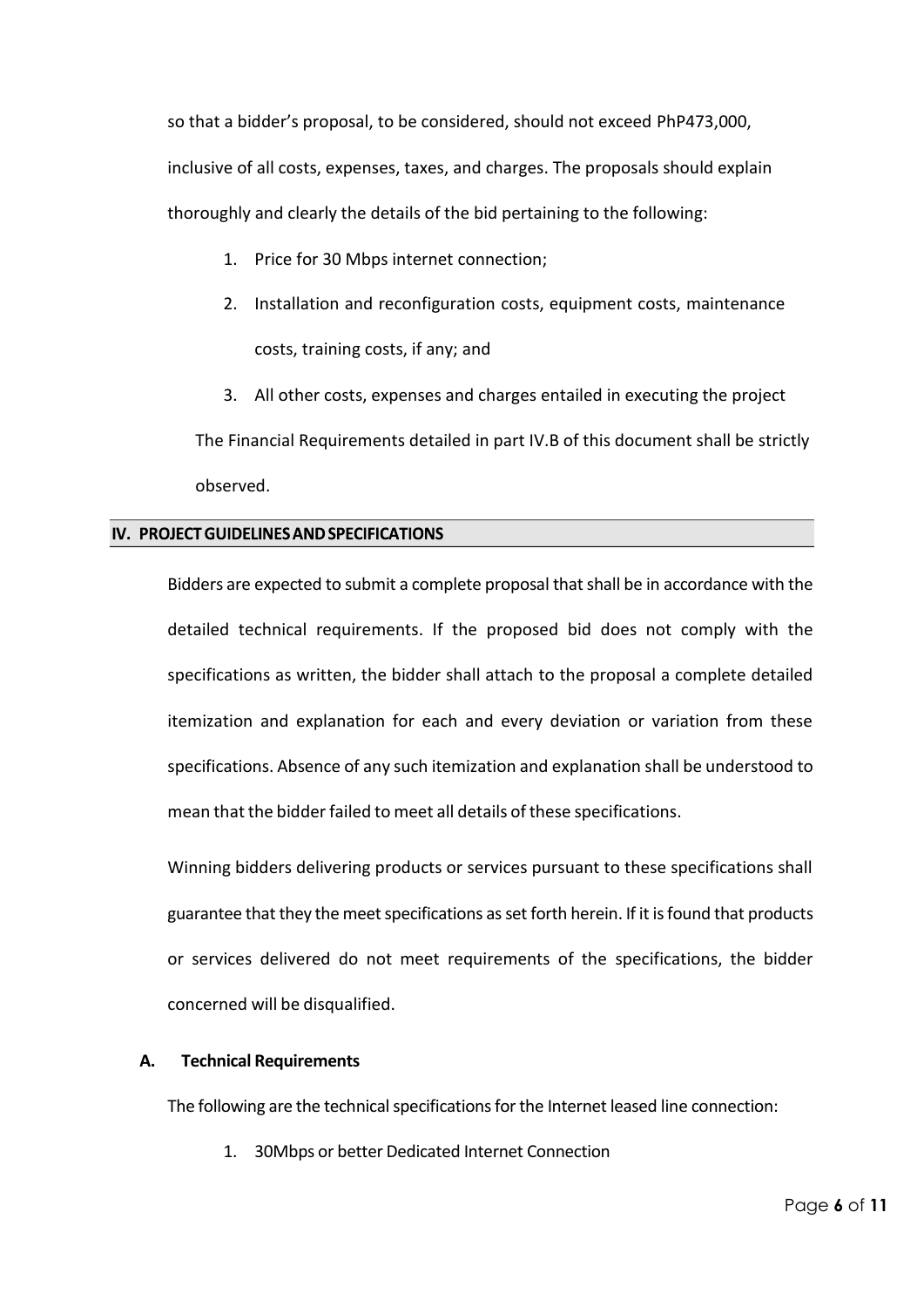so that a bidder's proposal, to be considered, should not exceed PhP473,000, inclusive of all costs, expenses, taxes, and charges. The proposals should explain thoroughly and clearly the details of the bid pertaining to the following:

- 1. Price for 30 Mbps internet connection;
- 2. Installation and reconfiguration costs, equipment costs, maintenance costs, training costs, if any; and
- 3. All other costs, expenses and charges entailed in executing the project

The Financial Requirements detailed in part IV.B of this document shall be strictly observed.

## <span id="page-5-0"></span>IV. PROJECT GUIDELINES AND SPECIFICATIONS

Bidders are expected to submit a complete proposal that shall be in accordance with the detailed technical requirements. If the proposed bid does not comply with the specifications as written, the bidder shall attach to the proposal a complete detailed itemization and explanation for each and every deviation or variation from these specifications. Absence of any such itemization and explanation shall be understood to mean that the bidder failed to meet all details of these specifications.

Winning bidders delivering products or services pursuant to these specifications shall guarantee that they the meetspecifications asset forth herein. If it isfound that products or services delivered do not meet requirements of the specifications, the bidder concerned will be disqualified.

## <span id="page-5-1"></span>**A. Technical Requirements**

The following are the technical specifications for the Internet leased line connection:

1. 30Mbps or better Dedicated Internet Connection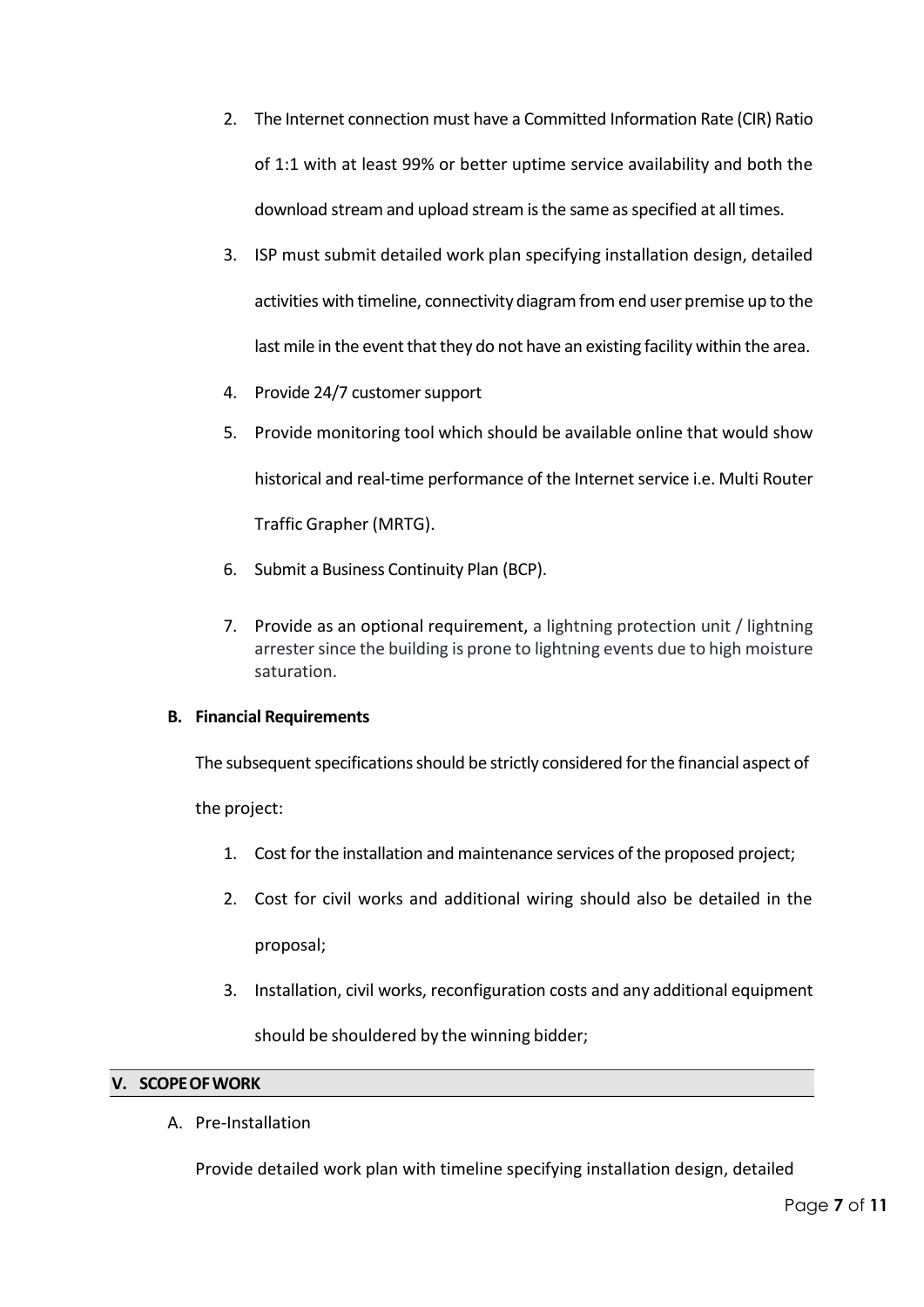- 2. The Internet connection must have a Committed Information Rate (CIR) Ratio of 1:1 with at least 99% or better uptime service availability and both the download stream and upload stream is the same as specified at all times.
- 3. ISP must submit detailed work plan specifying installation design, detailed activities with timeline, connectivity diagram from end user premise up to the last mile in the event that they do not have an existing facility within the area.
- 4. Provide 24/7 customer support
- 5. Provide monitoring tool which should be available online that would show historical and real-time performance of the Internet service i.e. Multi Router Traffic Grapher (MRTG).
- 6. Submit a Business Continuity Plan (BCP).
- 7. Provide as an optional requirement, a lightning protection unit / lightning arrester since the building is prone to lightning events due to high moisture saturation.

## <span id="page-6-0"></span>**B. Financial Requirements**

The subsequent specifications should be strictly considered for the financial aspect of

the project:

- 1. Cost for the installation and maintenance services of the proposed project;
- 2. Cost for civil works and additional wiring should also be detailed in the proposal;
- 3. Installation, civil works, reconfiguration costs and any additional equipment

should be shouldered by the winning bidder;

## <span id="page-6-1"></span>**V. SCOPEOFWORK**

A. Pre-Installation

Provide detailed work plan with timeline specifying installation design, detailed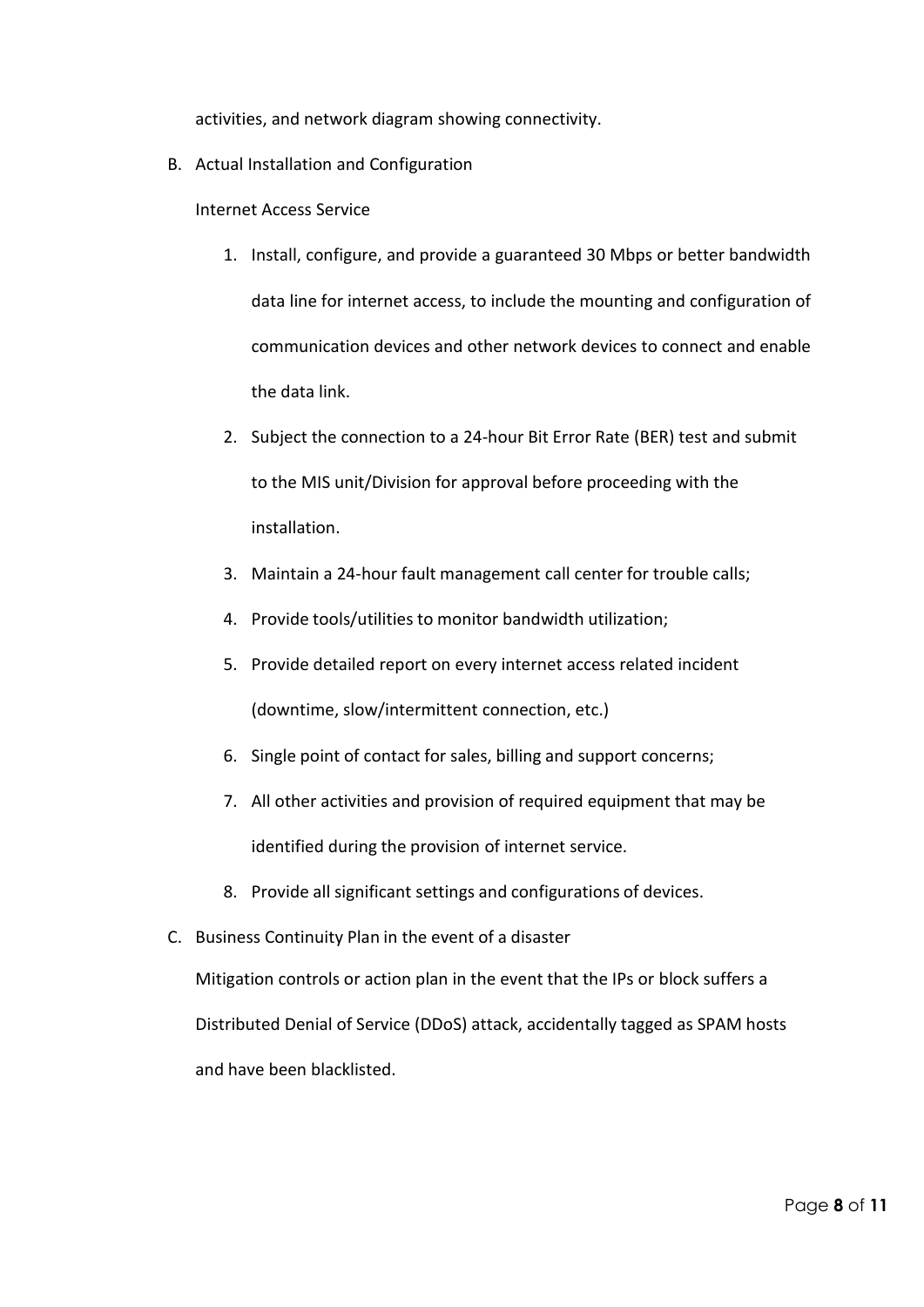activities, and network diagram showing connectivity.

B. Actual Installation and Configuration

Internet Access Service

- 1. Install, configure, and provide a guaranteed 30 Mbps or better bandwidth data line for internet access, to include the mounting and configuration of communication devices and other network devices to connect and enable the data link.
- 2. Subject the connection to a 24-hour Bit Error Rate (BER) test and submit to the MIS unit/Division for approval before proceeding with the installation.
- 3. Maintain a 24-hour fault management call center for trouble calls;
- 4. Provide tools/utilities to monitor bandwidth utilization;
- 5. Provide detailed report on every internet access related incident (downtime, slow/intermittent connection, etc.)
- 6. Single point of contact for sales, billing and support concerns;
- 7. All other activities and provision of required equipment that may be identified during the provision of internet service.
- 8. Provide all significant settings and configurations of devices.
- C. Business Continuity Plan in the event of a disaster

Mitigation controls or action plan in the event that the IPs or block suffers a Distributed Denial of Service (DDoS) attack, accidentally tagged as SPAM hosts and have been blacklisted.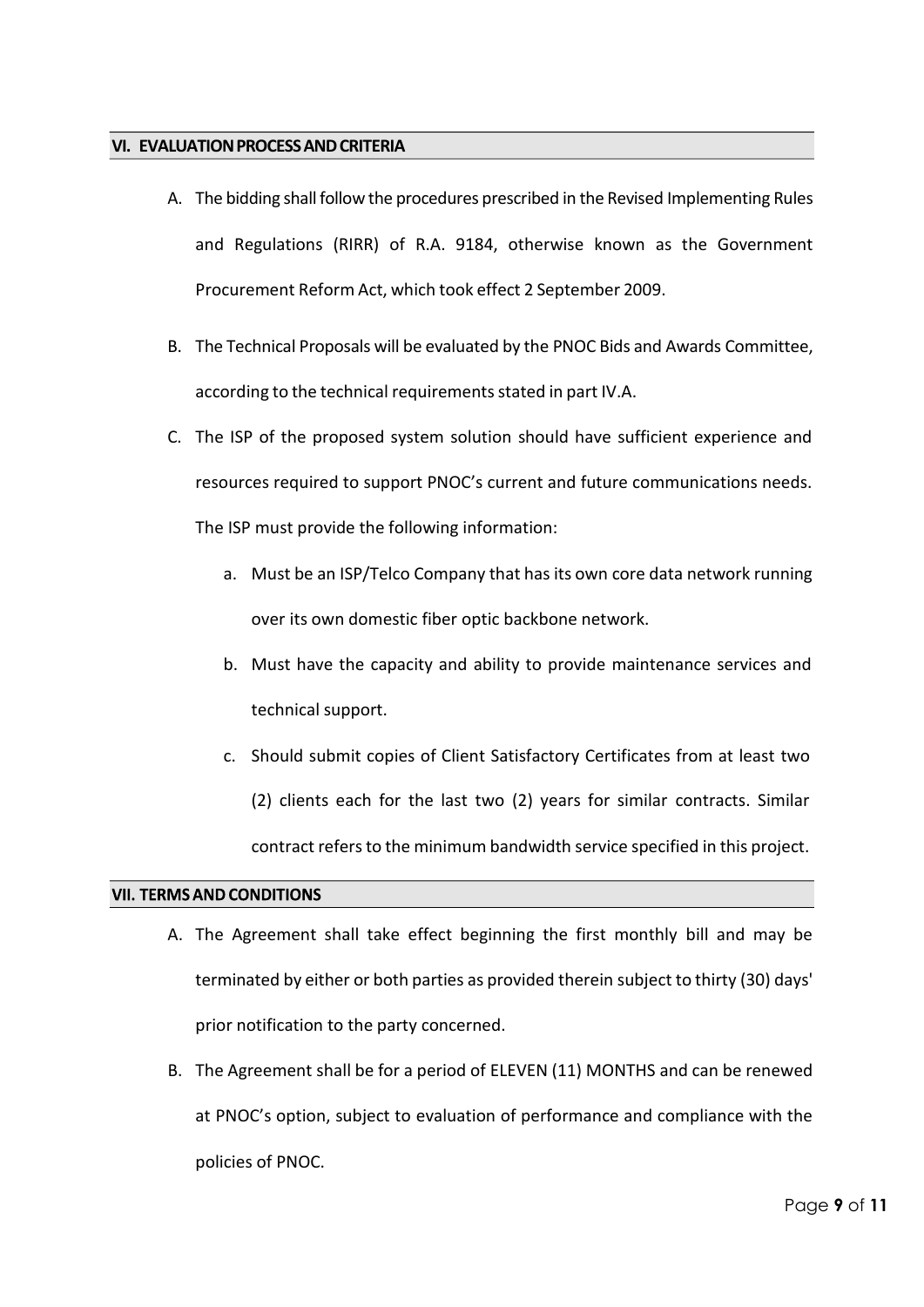#### <span id="page-8-0"></span>**VI. EVALUATIONPROCESSANDCRITERIA**

- A. The bidding shall follow the procedures prescribed in the Revised Implementing Rules and Regulations (RIRR) of R.A. 9184, otherwise known as the Government Procurement Reform Act, which took effect 2 September 2009.
- B. The Technical Proposals will be evaluated by the PNOC Bids and Awards Committee, according to the technical requirements stated in part IV.A.
- C. The ISP of the proposed system solution should have sufficient experience and resources required to support PNOC's current and future communications needs. The ISP must provide the following information:
	- a. Must be an ISP/Telco Company that has its own core data network running over its own domestic fiber optic backbone network.
	- b. Must have the capacity and ability to provide maintenance services and technical support.
	- c. Should submit copies of Client Satisfactory Certificates from at least two (2) clients each for the last two (2) years for similar contracts. Similar contract refers to the minimum bandwidth service specified in this project.

## <span id="page-8-1"></span>**VII. TERMS AND CONDITIONS**

- A. The Agreement shall take effect beginning the first monthly bill and may be terminated by either or both parties as provided therein subject to thirty (30) days' prior notification to the party concerned.
- B. The Agreement shall be for a period of ELEVEN (11) MONTHS and can be renewed at PNOC's option, subject to evaluation of performance and compliance with the policies of PNOC.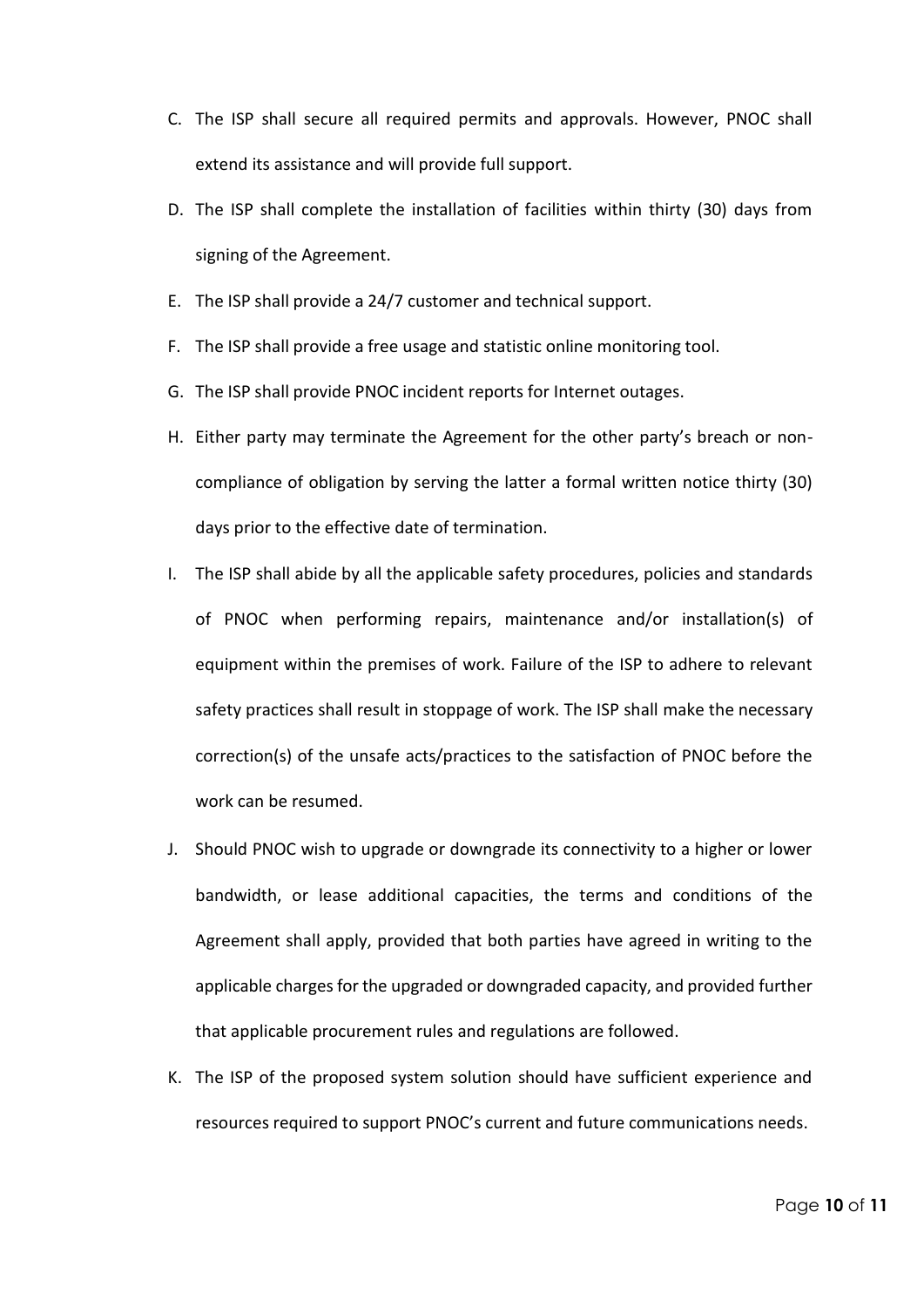- C. The ISP shall secure all required permits and approvals. However, PNOC shall extend its assistance and will provide full support.
- D. The ISP shall complete the installation of facilities within thirty (30) days from signing of the Agreement.
- E. The ISP shall provide a 24/7 customer and technical support.
- F. The ISP shall provide a free usage and statistic online monitoring tool.
- G. The ISP shall provide PNOC incident reports for Internet outages.
- H. Either party may terminate the Agreement for the other party's breach or noncompliance of obligation by serving the latter a formal written notice thirty (30) days prior to the effective date of termination.
- I. The ISP shall abide by all the applicable safety procedures, policies and standards of PNOC when performing repairs, maintenance and/or installation(s) of equipment within the premises of work. Failure of the ISP to adhere to relevant safety practices shall result in stoppage of work. The ISP shall make the necessary correction(s) of the unsafe acts/practices to the satisfaction of PNOC before the work can be resumed.
- J. Should PNOC wish to upgrade or downgrade its connectivity to a higher or lower bandwidth, or lease additional capacities, the terms and conditions of the Agreement shall apply, provided that both parties have agreed in writing to the applicable charges for the upgraded or downgraded capacity, and provided further that applicable procurement rules and regulations are followed.
- K. The ISP of the proposed system solution should have sufficient experience and resources required to support PNOC's current and future communications needs.